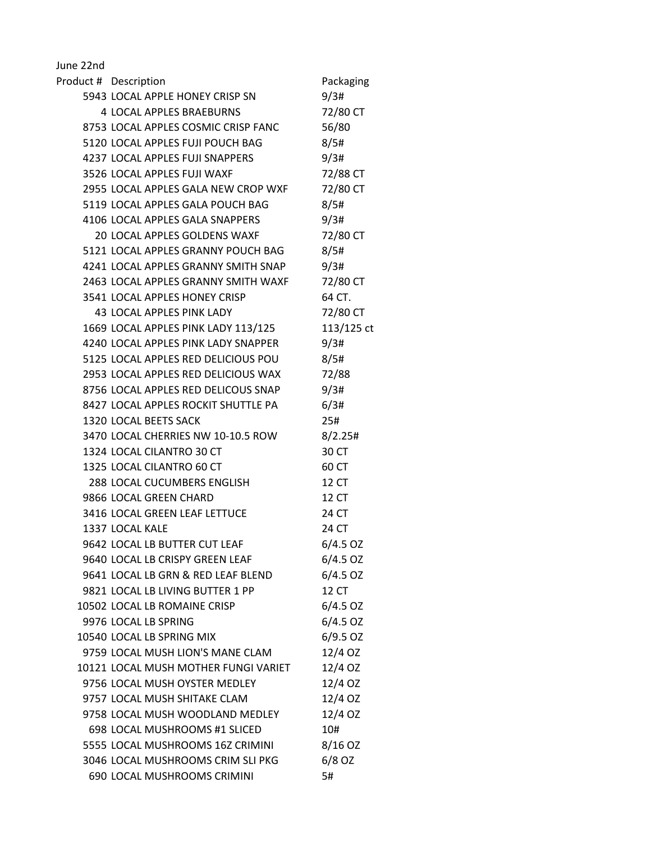June 22nd

| Product # Description                | Packaging  |
|--------------------------------------|------------|
| 5943 LOCAL APPLE HONEY CRISP SN      | 9/3#       |
| <b>4 LOCAL APPLES BRAEBURNS</b>      | 72/80 CT   |
| 8753 LOCAL APPLES COSMIC CRISP FANC  | 56/80      |
| 5120 LOCAL APPLES FUJI POUCH BAG     | 8/5#       |
| 4237 LOCAL APPLES FUJI SNAPPERS      | 9/3#       |
| 3526 LOCAL APPLES FUJI WAXF          | 72/88 CT   |
| 2955 LOCAL APPLES GALA NEW CROP WXF  | 72/80 CT   |
| 5119 LOCAL APPLES GALA POUCH BAG     | 8/5#       |
| 4106 LOCAL APPLES GALA SNAPPERS      | 9/3#       |
| 20 LOCAL APPLES GOLDENS WAXF         | 72/80 CT   |
| 5121 LOCAL APPLES GRANNY POUCH BAG   | 8/5#       |
| 4241 LOCAL APPLES GRANNY SMITH SNAP  | 9/3#       |
| 2463 LOCAL APPLES GRANNY SMITH WAXF  | 72/80 CT   |
| 3541 LOCAL APPLES HONEY CRISP        | 64 CT.     |
| <b>43 LOCAL APPLES PINK LADY</b>     | 72/80 CT   |
| 1669 LOCAL APPLES PINK LADY 113/125  | 113/125 ct |
| 4240 LOCAL APPLES PINK LADY SNAPPER  | 9/3#       |
| 5125 LOCAL APPLES RED DELICIOUS POU  | 8/5#       |
| 2953 LOCAL APPLES RED DELICIOUS WAX  | 72/88      |
| 8756 LOCAL APPLES RED DELICOUS SNAP  | 9/3#       |
| 8427 LOCAL APPLES ROCKIT SHUTTLE PA  | 6/3#       |
| 1320 LOCAL BEETS SACK                | 25#        |
| 3470 LOCAL CHERRIES NW 10-10.5 ROW   | 8/2.25#    |
| 1324 LOCAL CILANTRO 30 CT            | 30 CT      |
| 1325 LOCAL CILANTRO 60 CT            | 60 CT      |
| 288 LOCAL CUCUMBERS ENGLISH          | 12 CT      |
| 9866 LOCAL GREEN CHARD               | 12 CT      |
| 3416 LOCAL GREEN LEAF LETTUCE        | 24 CT      |
| 1337 LOCAL KALE                      | 24 CT      |
| 9642 LOCAL LB BUTTER CUT LEAF        | $6/4.5$ OZ |
| 9640 LOCAL LB CRISPY GREEN LEAF      | $6/4.5$ OZ |
| 9641 LOCAL LB GRN & RED LEAF BLEND   | $6/4.5$ OZ |
| 9821 LOCAL LB LIVING BUTTER 1 PP     | 12 CT      |
| 10502 LOCAL LB ROMAINE CRISP         | $6/4.5$ OZ |
| 9976 LOCAL LB SPRING                 | $6/4.5$ OZ |
| 10540 LOCAL LB SPRING MIX            | $6/9.5$ OZ |
| 9759 LOCAL MUSH LION'S MANE CLAM     | 12/4 OZ    |
| 10121 LOCAL MUSH MOTHER FUNGI VARIET | 12/4 OZ    |
| 9756 LOCAL MUSH OYSTER MEDLEY        | 12/4 OZ    |
| 9757 LOCAL MUSH SHITAKE CLAM         | 12/4 OZ    |
| 9758 LOCAL MUSH WOODLAND MEDLEY      | 12/4 OZ    |
| 698 LOCAL MUSHROOMS #1 SLICED        | 10#        |
| 5555 LOCAL MUSHROOMS 16Z CRIMINI     | 8/16 OZ    |
| 3046 LOCAL MUSHROOMS CRIM SLI PKG    | $6/8$ OZ   |
| 690 LOCAL MUSHROOMS CRIMINI          | 5#         |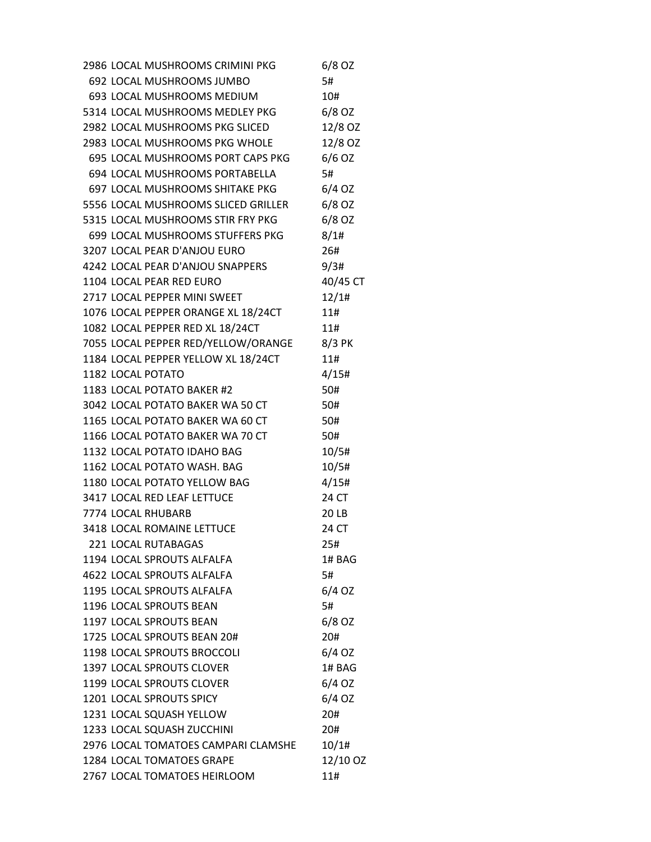2986 LOCAL MUSHROOMS CRIMINI PKG 6/8 OZ 692 LOCAL MUSHROOMS JUMBO 5# 693 LOCAL MUSHROOMS MEDIUM 10# 5314 LOCAL MUSHROOMS MEDLEY PKG 6/8 OZ 2982 LOCAL MUSHROOMS PKG SLICED 12/8 OZ 2983 LOCAL MUSHROOMS PKG WHOLE 12/8 OZ 695 LOCAL MUSHROOMS PORT CAPS PKG 6/6 OZ 694 LOCAL MUSHROOMS PORTABELLA 5# 697 LOCAL MUSHROOMS SHITAKE PKG 6/4 OZ 5556 LOCAL MUSHROOMS SLICED GRILLER 6/8 OZ 5315 LOCAL MUSHROOMS STIR FRY PKG 6/8 OZ 699 LOCAL MUSHROOMS STUFFERS PKG 8/1# 3207 LOCAL PEAR D'ANJOU EURO 26# 4242 LOCAL PEAR D'ANJOU SNAPPERS 9/3# 1104 LOCAL PEAR RED EURO 40/45 CT 2717 LOCAL PEPPER MINI SWEET 12/1# 1076 LOCAL PEPPER ORANGE XL 18/24CT 11# 1082 LOCAL PEPPER RED XL 18/24CT 11# 7055 LOCAL PEPPER RED/YELLOW/ORANGE 8/3 PK 1184 LOCAL PEPPER YELLOW XL 18/24CT 11# 1182 LOCAL POTATO 4/15# 1183 LOCAL POTATO BAKER #2 50# 3042 LOCAL POTATO BAKER WA 50 CT 50# 1165 LOCAL POTATO BAKER WA 60 CT 50# 1166 LOCAL POTATO BAKER WA 70 CT 50# 1132 LOCAL POTATO IDAHO BAG 10/5# 1162 LOCAL POTATO WASH. BAG 10/5# 1180 LOCAL POTATO YELLOW BAG 4/15# 3417 LOCAL RED LEAF LETTUCE 24 CT 7774 LOCAL RHUBARB 20 LB 3418 LOCAL ROMAINE LETTUCE 24 CT 221 LOCAL RUTABAGAS 25# 1194 LOCAL SPROUTS ALFALFA 1 14 BAG 4622 LOCAL SPROUTS ALFALFA 5# 1195 LOCAL SPROUTS ALFALFA 6/4 OZ 1196 LOCAL SPROUTS BEAN 5# 1197 LOCAL SPROUTS BEAN 6/8 OZ 1725 LOCAL SPROUTS BEAN 20# 20# 1198 LOCAL SPROUTS BROCCOLI 6/4 OZ 1397 LOCAL SPROUTS CLOVER 17 1# BAG 1199 LOCAL SPROUTS CLOVER 6/4 OZ 1201 LOCAL SPROUTS SPICY 6/4 OZ 1231 LOCAL SQUASH YELLOW 20# 1233 LOCAL SQUASH ZUCCHINI 20# 2976 LOCAL TOMATOES CAMPARI CLAMSHE 10/1# 1284 LOCAL TOMATOES GRAPE 12/10 OZ 2767 LOCAL TOMATOES HEIRLOOM 11#